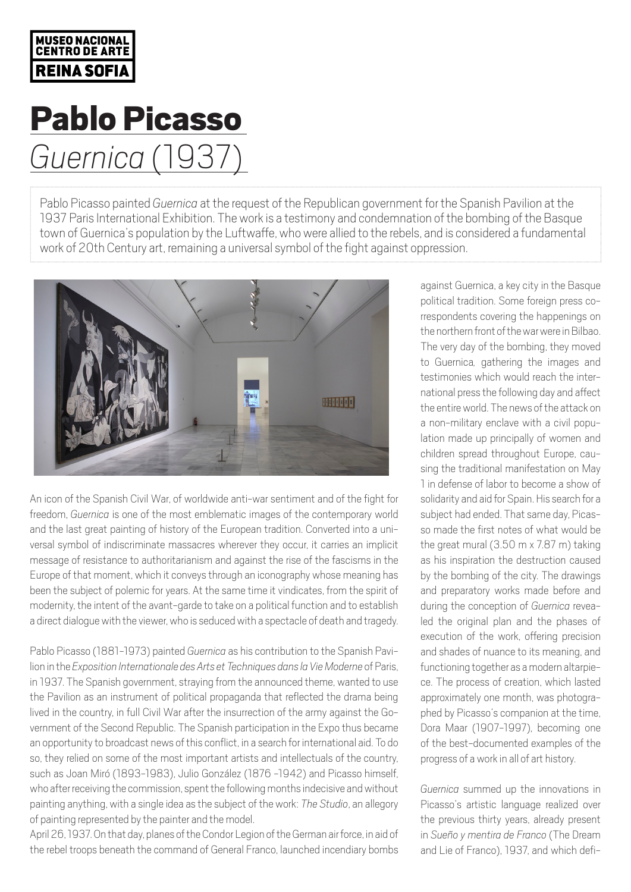## MUSEO NACIONAI **CENTRO DE ARTI REINA SOFIA**

## Pablo Picasso *Guernica* (1937)

Pablo Picasso painted *Guernica* at the request of the Republican government for the Spanish Pavilion at the 1937 Paris International Exhibition. The work is a testimony and condemnation of the bombing of the Basque town of Guernica's population by the Luftwaffe, who were allied to the rebels, and is considered a fundamental work of 20th Century art, remaining a universal symbol of the fight against oppression.



An icon of the Spanish Civil War, of worldwide anti-war sentiment and of the fight for freedom, *Guernica* is one of the most emblematic images of the contemporary world and the last great painting of history of the European tradition. Converted into a universal symbol of indiscriminate massacres wherever they occur, it carries an implicit message of resistance to authoritarianism and against the rise of the fascisms in the Europe of that moment, which it conveys through an iconography whose meaning has been the subject of polemic for years. At the same time it vindicates, from the spirit of modernity, the intent of the avant-garde to take on a political function and to establish a direct dialogue with the viewer, who is seduced with a spectacle of death and tragedy.

Pablo Picasso (1881-1973) painted *Guernica* as his contribution to the Spanish Pavilion in the *Exposition Internationale des Arts et Techniques dans la Vie Moderne* of Paris, in 1937. The Spanish government, straying from the announced theme, wanted to use the Pavilion as an instrument of political propaganda that reflected the drama being lived in the country, in full Civil War after the insurrection of the army against the Government of the Second Republic. The Spanish participation in the Expo thus became an opportunity to broadcast news of this conflict, in a search for international aid. To do so, they relied on some of the most important artists and intellectuals of the country, such as Joan Miró (1893-1983), Julio González (1876 -1942) and Picasso himself, who after receiving the commission, spent the following months indecisive and without painting anything, with a single idea as the subject of the work: *The Studio*, an allegory of painting represented by the painter and the model.

April 26, 1937. On that day, planes of the Condor Legion of the German air force, in aid of the rebel troops beneath the command of General Franco, launched incendiary bombs

against Guernica, a key city in the Basque political tradition. Some foreign press correspondents covering the happenings on the northern front of the war were in Bilbao. The very day of the bombing, they moved to Guernica*,* gathering the images and testimonies which would reach the international press the following day and affect the entire world. The news of the attack on a non-military enclave with a civil population made up principally of women and children spread throughout Europe, causing the traditional manifestation on May 1 in defense of labor to become a show of solidarity and aid for Spain. His search for a subject had ended. That same day, Picasso made the first notes of what would be the great mural (3.50 m x 7.87 m) taking as his inspiration the destruction caused by the bombing of the city. The drawings and preparatory works made before and during the conception of *Guernica* revealed the original plan and the phases of execution of the work, offering precision and shades of nuance to its meaning, and functioning together as a modern altarpiece. The process of creation, which lasted approximately one month, was photographed by Picasso's companion at the time, Dora Maar (1907-1997), becoming one of the best-documented examples of the progress of a work in all of art history.

*Guernica* summed up the innovations in Picasso's artistic language realized over the previous thirty years, already present in *Sueño y mentira de Franco* (The Dream and Lie of Franco), 1937, and which defi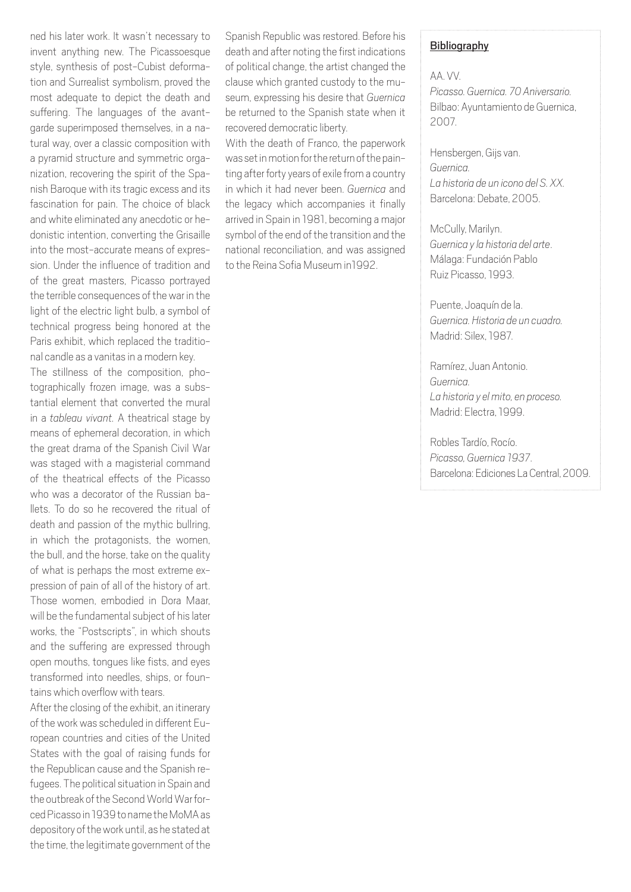ned his later work. It wasn't necessary to invent anything new. The Picassoesque style, synthesis of post-Cubist deformation and Surrealist symbolism, proved the most adequate to depict the death and suffering. The languages of the avantgarde superimposed themselves, in a natural way, over a classic composition with a pyramid structure and symmetric organization, recovering the spirit of the Spanish Baroque with its tragic excess and its fascination for pain. The choice of black and white eliminated any anecdotic or hedonistic intention, converting the Grisaille into the most-accurate means of expression. Under the influence of tradition and of the great masters, Picasso portrayed the terrible consequences of the war in the light of the electric light bulb, a symbol of technical progress being honored at the Paris exhibit, which replaced the traditional candle as a vanitas in a modern key.

The stillness of the composition, photographically frozen image, was a substantial element that converted the mural in a *tableau vivant.* A theatrical stage by means of ephemeral decoration, in which the great drama of the Spanish Civil War was staged with a magisterial command of the theatrical effects of the Picasso who was a decorator of the Russian ballets. To do so he recovered the ritual of death and passion of the mythic bullring, in which the protagonists, the women, the bull, and the horse, take on the quality of what is perhaps the most extreme expression of pain of all of the history of art. Those women, embodied in Dora Maar, will be the fundamental subject of his later works, the "Postscripts", in which shouts and the suffering are expressed through open mouths, tongues like fists, and eyes transformed into needles, ships, or fountains which overflow with tears.

After the closing of the exhibit, an itinerary of the work was scheduled in different European countries and cities of the United States with the goal of raising funds for the Republican cause and the Spanish refugees. The political situation in Spain and the outbreak of the Second World War forced Picasso in 1939 to name the MoMA as depository of the work until, as he stated at the time, the legitimate government of the

Spanish Republic was restored. Before his death and after noting the first indications of political change, the artist changed the clause which granted custody to the museum, expressing his desire that *Guernica*  be returned to the Spanish state when it recovered democratic liberty.

With the death of Franco, the paperwork was set in motion for the return of the painting after forty years of exile from a country in which it had never been. *Guernica* and the legacy which accompanies it finally arrived in Spain in 1981, becoming a major symbol of the end of the transition and the national reconciliation, and was assigned to the Reina Sofia Museum in1992.

#### Bibliography

AA. VV. *Picasso. Guernica. 70 Aniversario.* Bilbao: Ayuntamiento de Guernica, 2007.

Hensbergen, Gijs van. *Guernica. La historia de un icono del S. XX.*  Barcelona: Debate, 2005.

McCully, Marilyn. *Guernica y la historia del arte*. Málaga: Fundación Pablo Ruiz Picasso, 1993.

Puente, Joaquín de la. *Guernica. Historia de un cuadro.*  Madrid: Silex, 1987.

Ramírez, Juan Antonio. *Guernica. La historia y el mito, en proceso.*  Madrid: Electra, 1999.

Robles Tardío, Rocío. *Picasso, Guernica 1937*. Barcelona: Ediciones La Central, 2009.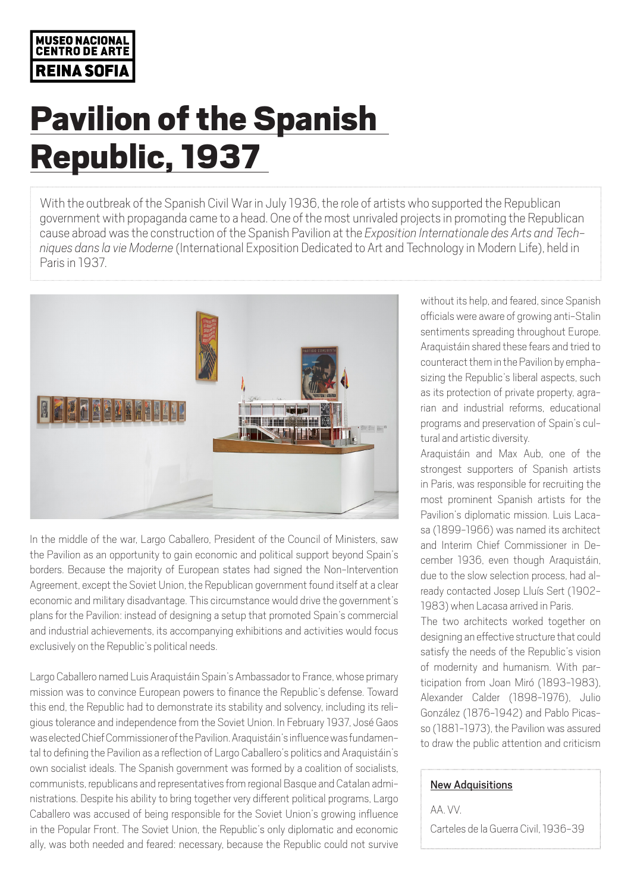### MUSEO NACIONAL **CENTRO DE ARTE REINA SOFIA**

# Pavilion of the Spanish Republic, 1937

With the outbreak of the Spanish Civil War in July 1936, the role of artists who supported the Republican government with propaganda came to a head. One of the most unrivaled projects in promoting the Republican cause abroad was the construction of the Spanish Pavilion at the Exposition Internationale des Arts and Tech-<br>niques dans la vie Moderne (International Exposition Dedicated to Art and Technology in Modern Life), held in Paris in 1937.



In the middle of the war, Largo Caballero, President of the Council of Ministers, saw the Pavilion as an opportunity to gain economic and political support beyond Spain's borders. Because the majority of European states had signed the Non-Intervention Agreement, except the Soviet Union, the Republican government found itself at a clear economic and military disadvantage. This circumstance would drive the government's plans for the Pavilion: instead of designing a setup that promoted Spain's commercial and industrial achievements, its accompanying exhibitions and activities would focus exclusively on the Republic's political needs.

Largo Caballero named Luis Araquistáin Spain's Ambassador to France, whose primary mission was to convince European powers to finance the Republic's defense. Toward this end, the Republic had to demonstrate its stability and solvency, including its religious tolerance and independence from the Soviet Union. In February 1937, José Gaos was elected Chief Commissioner of the Pavilion. Araquistáin's influence was fundamental to defining the Pavilion as a reflection of Largo Caballero's politics and Araquistáin's own socialist ideals. The Spanish government was formed by a coalition of socialists, communists, republicans and representatives from regional Basque and Catalan administrations. Despite his ability to bring together very different political programs, Largo Caballero was accused of being responsible for the Soviet Union's growing influence in the Popular Front. The Soviet Union, the Republic's only diplomatic and economic ally, was both needed and feared: necessary, because the Republic could not survive

without its help, and feared, since Spanish officials were aware of growing anti-Stalin sentiments spreading throughout Europe. Araquistáin shared these fears and tried to counteract them in the Pavilion by emphasizing the Republic's liberal aspects, such as its protection of private property, agrarian and industrial reforms, educational programs and preservation of Spain's cultural and artistic diversity.

Araquistáin and Max Aub, one of the strongest supporters of Spanish artists in Paris, was responsible for recruiting the most prominent Spanish artists for the Pavilion's diplomatic mission. Luis Lacasa (1899-1966) was named its architect and Interim Chief Commissioner in December 1936, even though Araquistáin, due to the slow selection process, had already contacted Josep Lluís Sert (1902- 1983) when Lacasa arrived in Paris.

The two architects worked together on designing an effective structure that could satisfy the needs of the Republic's vision of modernity and humanism. With participation from Joan Miró (1893-1983), Alexander Calder (1898-1976), Julio González (1876-1942) and Pablo Picasso (1881-1973), the Pavilion was assured to draw the public attention and criticism

### New Adquisitions

AA. VV. Carteles de la Guerra Civil, 1936-39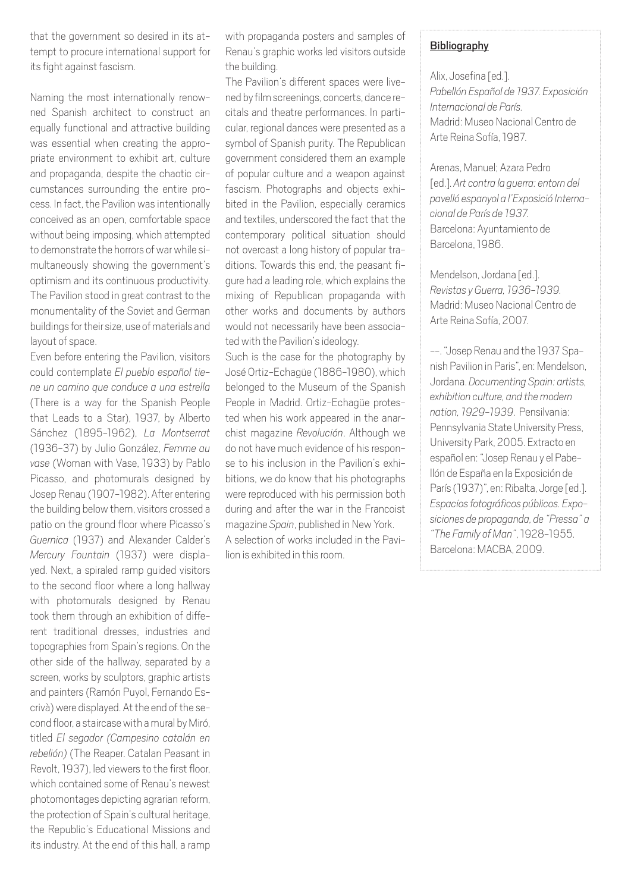that the government so desired in its attempt to procure international support for its fight against fascism.

Naming the most internationally renowned Spanish architect to construct an equally functional and attractive building was essential when creating the appropriate environment to exhibit art, culture and propaganda, despite the chaotic circumstances surrounding the entire process. In fact, the Pavilion was intentionally conceived as an open, comfortable space without being imposing, which attempted to demonstrate the horrors of war while simultaneously showing the government's optimism and its continuous productivity. The Pavilion stood in great contrast to the monumentality of the Soviet and German buildings for their size, use of materials and layout of space.

Even before entering the Pavilion, visitors could contemplate *El pueblo español tiene un camino que conduce a una estrella* (There is a way for the Spanish People that Leads to a Star), 1937, by Alberto Sánchez (1895-1962), *La Montserrat* (1936-37) by Julio González, *Femme au vase* (Woman with Vase, 1933) by Pablo Picasso, and photomurals designed by Josep Renau (1907-1982). After entering the building below them, visitors crossed a patio on the ground floor where Picasso's *Guernica* (1937) and Alexander Calder's *Mercury Fountain* (1937) were displayed. Next, a spiraled ramp guided visitors to the second floor where a long hallway with photomurals designed by Renau took them through an exhibition of different traditional dresses, industries and topographies from Spain's regions. On the other side of the hallway, separated by a screen, works by sculptors, graphic artists and painters (Ramón Puyol, Fernando Escrivà) were displayed. At the end of the second floor, a staircase with a mural by Miró, titled *El segador (Campesino catalán en rebelión)* (The Reaper. Catalan Peasant in Revolt, 1937), led viewers to the first floor, which contained some of Renau's newest photomontages depicting agrarian reform, the protection of Spain's cultural heritage, the Republic's Educational Missions and its industry. At the end of this hall, a ramp

with propaganda posters and samples of Renau's graphic works led visitors outside the building.

The Pavilion's different spaces were livened by film screenings, concerts, dance recitals and theatre performances. In particular, regional dances were presented as a symbol of Spanish purity. The Republican government considered them an example of popular culture and a weapon against fascism. Photographs and objects exhibited in the Pavilion, especially ceramics and textiles, underscored the fact that the contemporary political situation should not overcast a long history of popular traditions. Towards this end, the peasant figure had a leading role, which explains the mixing of Republican propaganda with other works and documents by authors would not necessarily have been associated with the Pavilion's ideology.

Such is the case for the photography by José Ortiz-Echagüe (1886-1980), which belonged to the Museum of the Spanish People in Madrid. Ortiz-Echagüe protested when his work appeared in the anarchist magazine *Revolución*. Although we do not have much evidence of his response to his inclusion in the Pavilion's exhibitions, we do know that his photographs were reproduced with his permission both during and after the war in the Francoist magazine *Spain*, published in New York. A selection of works included in the Pavilion is exhibited in this room.

### Bibliography

Alix, Josefina [ed.]. *Pabellón Español de 1937. Exposición Internacional de París.*  Madrid: Museo Nacional Centro de Arte Reina Sofía, 1987.

Arenas, Manuel; Azara Pedro [ed.]. *Art contra la guerra: entorn del pavelló espanyol a l'Exposició Internacional de París de 1937.*  Barcelona: Ayuntamiento de Barcelona, 1986.

Mendelson, Jordana [ed.]. *Revistas y Guerra, 1936-1939.*  Madrid: Museo Nacional Centro de Arte Reina Sofía, 2007.

--. "Josep Renau and the 1937 Spanish Pavilion in Paris", en: Mendelson, Jordana. *Documenting Spain: artists, exhibition culture, and the modern nation, 1929-1939*. Pensilvania: Pennsylvania State University Press, University Park, 2005. Extracto en español en: "Josep Renau y el Pabellón de España en la Exposición de París (1937)", en: Ribalta, Jorge [ed.]. *Espacios fotográficos públicos. Exposiciones de propaganda, de "Pressa" a "The Family of Man"*, 1928-1955. Barcelona: MACBA, 2009.